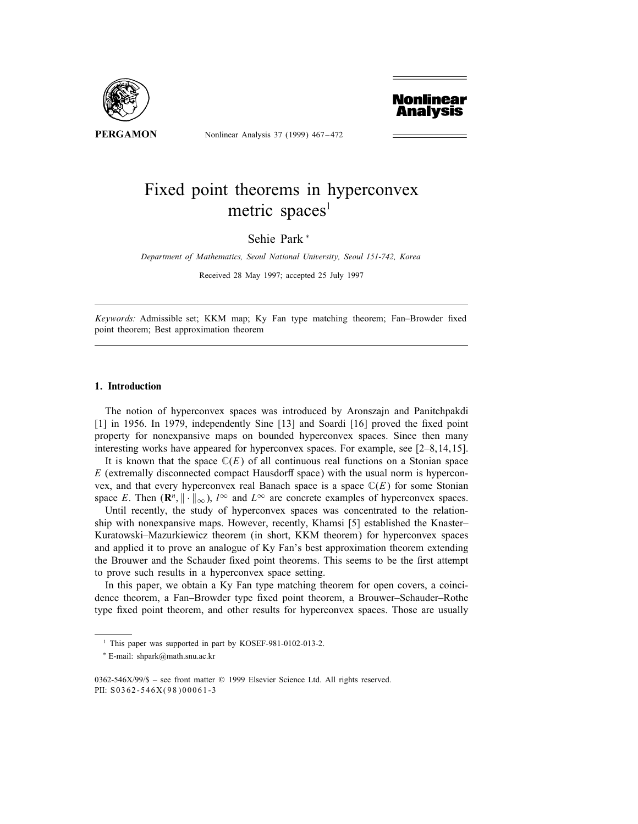

Nonlinear Analysis 37 (1999) 467 – 472



# Fixed point theorems in hyperconvex metric spaces<sup>1</sup>

Sehie Park <sup>∗</sup>

Department of Mathematics, Seoul National University, Seoul 151-742, Korea

Received 28 May 1997; accepted 25 July 1997

Keywords: Admissible set; KKM map; Ky Fan type matching theorem; Fan-Browder fixed point theorem; Best approximation theorem

# 1. Introduction

The notion of hyperconvex spaces was introduced by Aronszajn and Panitchpakdi  $[1]$  in 1956. In 1979, independently Sine  $[13]$  and Soardi  $[16]$  proved the fixed point property for nonexpansive maps on bounded hyperconvex spaces. Since then many interesting works have appeared for hyperconvex spaces. For example, see [2–8,14,15].

It is known that the space  $\mathbb{C}(E)$  of all continuous real functions on a Stonian space  $E$  (extremally disconnected compact Hausdorff space) with the usual norm is hyperconvex, and that every hyperconvex real Banach space is a space  $\mathbb{C}(E)$  for some Stonian space E. Then  $(\mathbf{R}^n, \|\cdot\|_{\infty})$ , l<sup>∞</sup> and L<sup>∞</sup> are concrete examples of hyperconvex spaces.

Until recently, the study of hyperconvex spaces was concentrated to the relationship with nonexpansive maps. However, recently, Khamsi [5] established the Knaster– Kuratowski–Mazurkiewicz theorem (in short, KKM theorem) for hyperconvex spaces and applied it to prove an analogue of Ky Fan's best approximation theorem extending the Brouwer and the Schauder fixed point theorems. This seems to be the first attempt to prove such results in a hyperconvex space setting.

In this paper, we obtain a Ky Fan type matching theorem for open covers, a coincidence theorem, a Fan–Browder type fixed point theorem, a Brouwer–Schauder–Rothe type fixed point theorem, and other results for hyperconvex spaces. Those are usually

<sup>&</sup>lt;sup>1</sup> This paper was supported in part by KOSEF-981-0102-013-2.

<sup>∗</sup> E-mail: shpark@math.snu.ac.kr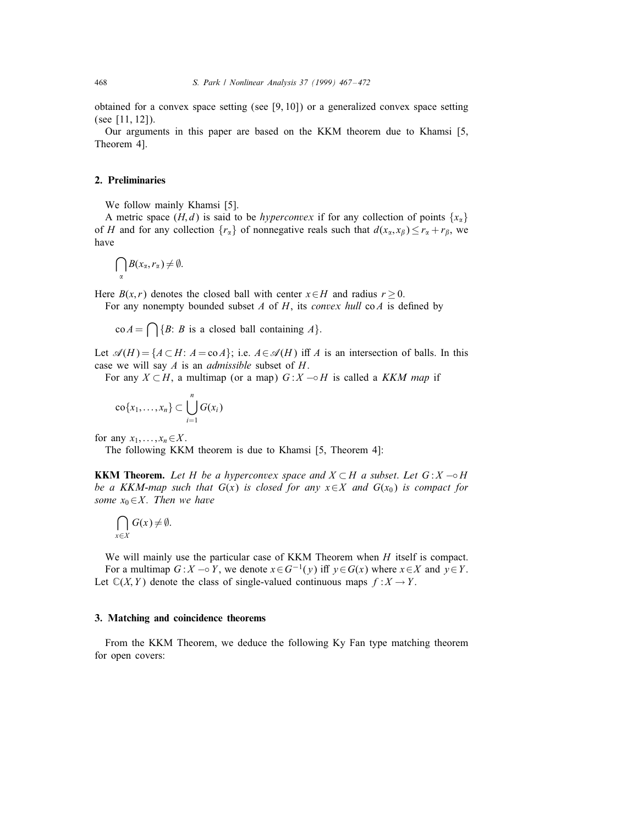obtained for a convex space setting (see [9, 10]) or a generalized convex space setting (see [11, 12]).

Our arguments in this paper are based on the KKM theorem due to Khamsi [5, Theorem 4].

# 2. Preliminaries

We follow mainly Khamsi [5].

A metric space  $(H, d)$  is said to be *hyperconvex* if for any collection of points  $\{x_{\alpha}\}\$ of H and for any collection  $\{r_{\alpha}\}\$  of nonnegative reals such that  $d(x_{\alpha},x_{\beta}) \leq r_{\alpha} + r_{\beta}$ , we have

$$
\bigcap_{\alpha} B(x_{\alpha}, r_{\alpha}) \neq \emptyset.
$$

Here  $B(x, r)$  denotes the closed ball with center  $x \in H$  and radius  $r \ge 0$ .

For any nonempty bounded subset  $A$  of  $H$ , its *convex hull* co $A$  is defined by

 $\text{co } A = \bigcap \{B: B \text{ is a closed ball containing } A\}.$ 

Let  $\mathcal{A}(H) = \{A \subset H: A = \text{co }A\}$ ; i.e.  $A \in \mathcal{A}(H)$  iff A is an intersection of balls. In this case we will say  $A$  is an *admissible* subset of  $H$ .

For any  $X \subset H$ , a multimap (or a map)  $G : X \to H$  is called a KKM map if

$$
\mathrm{co}\{x_1,\ldots,x_n\}\subset\bigcup_{i=1}^nG(x_i)
$$

for any  $x_1,\ldots,x_n\in X$ .

The following KKM theorem is due to Khamsi [5, Theorem 4]:

**KKM Theorem.** Let H be a hyperconvex space and  $X \subset H$  a subset. Let  $G: X \to H$ be a KKM-map such that  $G(x)$  is closed for any  $x \in X$  and  $G(x_0)$  is compact for some  $x_0 \in X$ . Then we have

$$
\bigcap_{x\in X}G(x)\neq\emptyset.
$$

We will mainly use the particular case of KKM Theorem when  $H$  itself is compact. For a multimap  $G: X \to Y$ , we denote  $x \in G^{-1}(y)$  iff  $y \in G(x)$  where  $x \in X$  and  $y \in Y$ . Let  $\mathbb{C}(X, Y)$  denote the class of single-valued continuous maps  $f : X \to Y$ .

# 3. Matching and coincidence theorems

From the KKM Theorem, we deduce the following Ky Fan type matching theorem for open covers: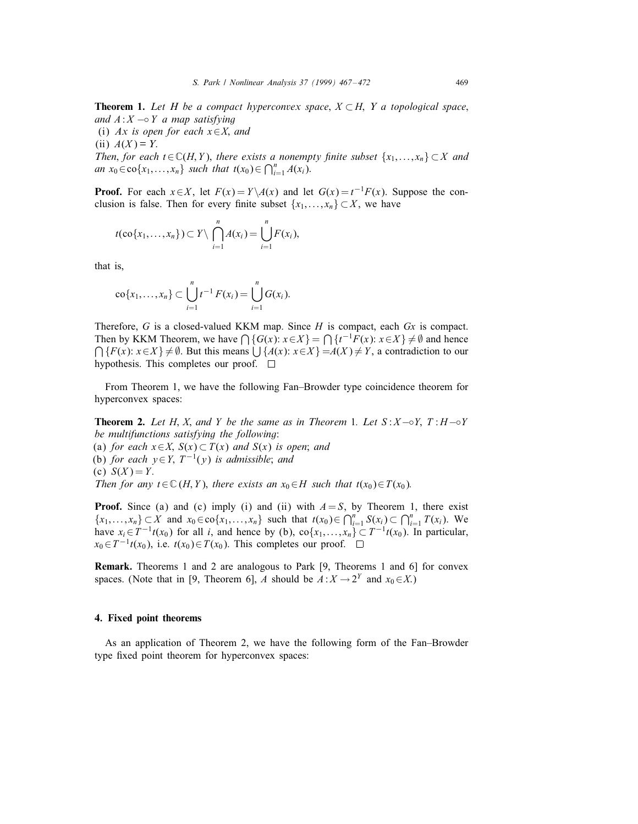**Theorem 1.** Let H be a compact hyperconvex space,  $X \subset H$ , Y a topological space, and  $A: X \to Y$  a map satisfying (i) Ax is open for each  $x \in X$ , and (ii)  $A(X) = Y$ . Then, for each  $t \in \mathbb{C}(H, Y)$ , there exists a nonempty finite subset  $\{x_1, \ldots, x_n\} \subset X$  and an  $x_0 \in \text{co}\{x_1,...,x_n\}$  such that  $t(x_0) \in \bigcap_{i=1}^n A(x_i)$ .

**Proof.** For each  $x \in X$ , let  $F(x) = Y \setminus A(x)$  and let  $G(x) = t^{-1}F(x)$ . Suppose the conclusion is false. Then for every finite subset  $\{x_1, \ldots, x_n\} \subset X$ , we have

$$
t(\mathrm{co}\{x_1,\ldots,x_n\})\subset Y\setminus \bigcap_{i=1}^n A(x_i)=\bigcup_{i=1}^n F(x_i),
$$

that is,

$$
\mathrm{co}\{x_1,\ldots,x_n\}\subset \bigcup_{i=1}^n t^{-1} F(x_i)=\bigcup_{i=1}^n G(x_i).
$$

Therefore,  $G$  is a closed-valued KKM map. Since  $H$  is compact, each  $Gx$  is compact. Then by KKM Theorem, we have  $\bigcap \{G(x): x \in X\} = \bigcap \{t^{-1}F(x): x \in X\} \neq \emptyset$  and hence  $\bigcap \{F(x): x \in X\} \neq \emptyset$ . But this means  $\bigcup \{A(x): x \in X\} = A(X) \neq Y$ , a contradiction to our hypothesis. This completes our proof.  $\Box$ 

From Theorem 1, we have the following Fan–Browder type coincidence theorem for hyperconvex spaces:

**Theorem 2.** Let H, X, and Y be the same as in Theorem 1. Let  $S: X \rightarrow Y$ ; T: H $\rightarrow$ Y be multifunctions satisfying the following: (a) for each  $x \in X$ ,  $S(x) \subset T(x)$  and  $S(x)$  is open; and (b) for each  $y \in Y$ ,  $T^{-1}(y)$  is admissible; and (c)  $S(X) = Y$ . Then for any  $t \in \mathbb{C}$  (H, Y), there exists an  $x_0 \in H$  such that  $t(x_0) \in T(x_0)$ .

**Proof.** Since (a) and (c) imply (i) and (ii) with  $A = S$ , by Theorem 1, there exist  ${x_1,...,x_n} \subset X$  and  $x_0 \in \text{co}\{x_1,...,x_n\}$  such that  $t(x_0) \in \bigcap_{i=1}^n S(x_i) \subset \bigcap_{i=1}^n T(x_i)$ . We have  $x_i \in T^{-1}t(x_0)$  for all i, and hence by (b), co $\{x_1,...,x_n\} \subset T^{-1}t(x_0)$ . In particular,  $x_0 \in T^{-1}t(x_0)$ , i.e.  $t(x_0) \in T(x_0)$ . This completes our proof.  $\square$ 

Remark. Theorems 1 and 2 are analogous to Park [9, Theorems 1 and 6] for convex spaces. (Note that in [9, Theorem 6], A should be  $A: X \to 2^Y$  and  $x_0 \in X$ .)

# 4. Fixed point theorems

As an application of Theorem 2, we have the following form of the Fan–Browder type fixed point theorem for hyperconvex spaces: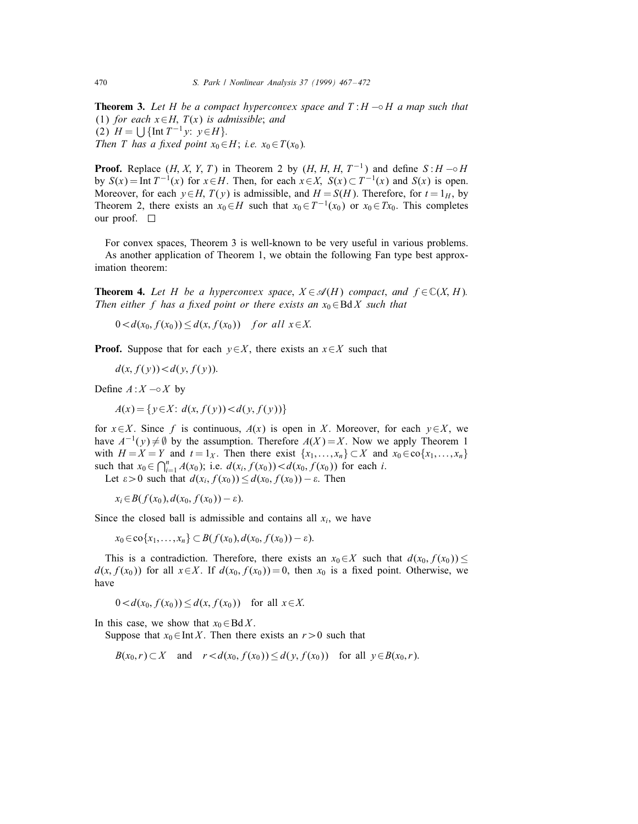**Theorem 3.** Let H be a compact hyperconvex space and  $T : H \rightarrow H$  a map such that (1) for each  $x \in H$ ,  $T(x)$  is admissible; and (2)  $H = \left[ \int {\ln T^{-1} y: y \in H} \right]$ . Then T has a fixed point  $x_0 \in H$ ; i.e.  $x_0 \in T(x_0)$ .

**Proof.** Replace  $(H, X, Y, T)$  in Theorem 2 by  $(H, H, H, T^{-1})$  and define  $S: H \rightarrow H$ by  $S(x) = \text{Int } T^{-1}(x)$  for  $x \in H$ . Then, for each  $x \in X$ ,  $S(x) \subset T^{-1}(x)$  and  $S(x)$  is open. Moreover, for each  $y \in H$ ,  $T(y)$  is admissible, and  $H = S(H)$ . Therefore, for  $t = 1_H$ , by Theorem 2, there exists an  $x_0 \in H$  such that  $x_0 \in T^{-1}(x_0)$  or  $x_0 \in Tx_0$ . This completes our proof.  $\square$ 

For convex spaces, Theorem 3 is well-known to be very useful in various problems. As another application of Theorem 1, we obtain the following Fan type best approximation theorem:

**Theorem 4.** Let H be a hyperconvex space,  $X \in \mathcal{A}(H)$  compact, and  $f \in \mathbb{C}(X, H)$ . Then either f has a fixed point or there exists an  $x_0 \in B\,dX$  such that

 $0 < d(x_0, f(x_0)) \leq d(x, f(x_0))$  for all  $x \in X$ .

**Proof.** Suppose that for each  $y \in X$ , there exists an  $x \in X$  such that

 $d(x, f(y)) < d(y, f(y))$ .

Define  $A: X \sim X$  by

$$
A(x) = \{ y \in X : d(x, f(y)) < d(y, f(y)) \}
$$

for  $x \in X$ . Since f is continuous,  $A(x)$  is open in X. Moreover, for each  $y \in X$ , we have  $A^{-1}(y) \neq \emptyset$  by the assumption. Therefore  $A(X) = X$ . Now we apply Theorem 1 with  $H = X = Y$  and  $t = 1_X$ . Then there exist  $\{x_1, \ldots, x_n\} \subset X$  and  $x_0 \in \text{co}\{x_1, \ldots, x_n\}$ such that  $x_0 \in \bigcap_{i=1}^n A(x_0)$ ; i.e.  $d(x_i, f(x_0)) < d(x_0, f(x_0))$  for each i.

Let  $\varepsilon > 0$  such that  $d(x_i, f(x_0)) \leq d(x_0, f(x_0)) - \varepsilon$ . Then

 $x_i \in B(f(x_0), d(x_0, f(x_0)) - \varepsilon).$ 

Since the closed ball is admissible and contains all  $x_i$ , we have

 $x_0 \in \text{co}\{x_1,\ldots,x_n\} \subset B(f(x_0),d(x_0,f(x_0))-\varepsilon).$ 

This is a contradiction. Therefore, there exists an  $x_0 \in X$  such that  $d(x_0, f(x_0)) \leq$  $d(x, f(x_0))$  for all  $x \in X$ . If  $d(x_0, f(x_0)) = 0$ , then  $x_0$  is a fixed point. Otherwise, we have

$$
0 < d(x_0, f(x_0)) \le d(x, f(x_0)) \quad \text{for all } x \in X.
$$

In this case, we show that  $x_0 \in BdX$ .

Suppose that  $x_0 \in \text{Int } X$ . Then there exists an  $r > 0$  such that

 $B(x_0,r) \subset X$  and  $r < d(x_0, f(x_0)) \le d(y, f(x_0))$  for all  $y \in B(x_0,r)$ .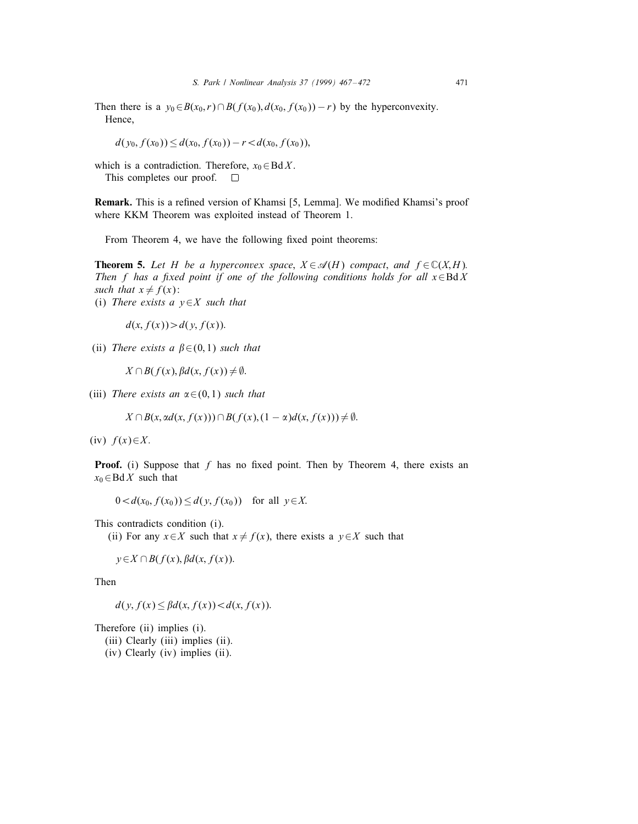Then there is a  $y_0 \in B(x_0, r) \cap B(f(x_0), d(x_0, f(x_0)) - r)$  by the hyperconvexity. Hence,

 $d(y_0, f(x_0)) \leq d(x_0, f(x_0)) - r \leq d(x_0, f(x_0)),$ 

which is a contradiction. Therefore,  $x_0 \in BdX$ .

This completes our proof. П

Remark. This is a refined version of Khamsi [5, Lemma]. We modified Khamsi's proof where KKM Theorem was exploited instead of Theorem 1.

From Theorem 4, we have the following fixed point theorems:

**Theorem 5.** Let H be a hyperconvex space,  $X \in \mathcal{A}(H)$  compact, and  $f \in \mathbb{C}(X,H)$ . Then f has a fixed point if one of the following conditions holds for all  $x \in B\mathcal{d} X$ such that  $x \neq f(x)$ :

(i) There exists a  $v \in X$  such that

 $d(x, f(x)) > d(y, f(x)).$ 

(ii) There exists a  $\beta \in (0,1)$  such that

 $X \cap B(f(x), \beta d(x, f(x)) \neq \emptyset$ .

(iii) There exists an  $\alpha \in (0, 1)$  such that

 $X \cap B(x, \alpha d(x, f(x))) \cap B(f(x), (1 - \alpha) d(x, f(x))) \neq \emptyset.$ 

(iv)  $f(x) \in X$ .

**Proof.** (i) Suppose that f has no fixed point. Then by Theorem 4, there exists an  $x_0 \in \text{Bd} X$  such that

 $0 < d(x_0, f(x_0)) \le d(y, f(x_0))$  for all  $y \in X$ .

This contradicts condition (i).

(ii) For any  $x \in X$  such that  $x \neq f(x)$ , there exists a  $y \in X$  such that

$$
y \in X \cap B(f(x), \beta d(x, f(x))).
$$

Then

$$
d(y, f(x) \le \beta d(x, f(x)) < d(x, f(x)).
$$

Therefore (ii) implies (i).

- (iii) Clearly (iii) implies (ii).
- (iv) Clearly (iv) implies (ii).